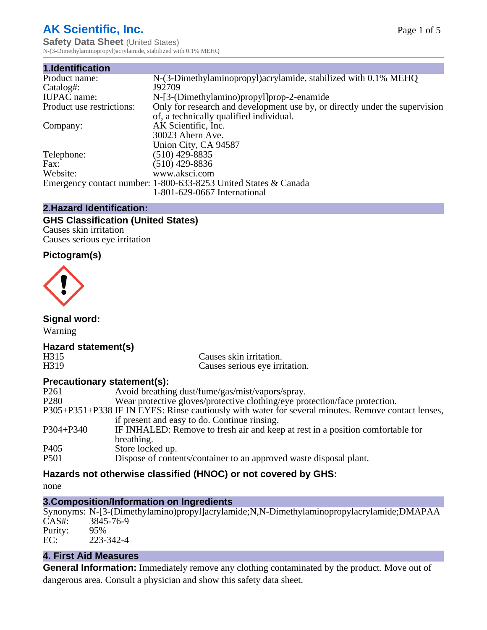# **AK Scientific, Inc.**

**Safety Data Sheet** (United States) N-(3-Dimethylaminopropyl)acrylamide, stabilized with 0.1% MEHQ

| 1.Identification          |                                                                             |
|---------------------------|-----------------------------------------------------------------------------|
| Product name:             | N-(3-Dimethylaminopropyl) acrylamide, stabilized with 0.1% MEHQ             |
| Catalog#:                 | J92709                                                                      |
| <b>IUPAC</b> name:        | N-[3-(Dimethylamino)propyl]prop-2-enamide                                   |
| Product use restrictions: | Only for research and development use by, or directly under the supervision |
|                           | of, a technically qualified individual.                                     |
| Company:                  | AK Scientific, Inc.                                                         |
|                           | 30023 Ahern Ave.                                                            |
|                           | Union City, CA 94587                                                        |
| Telephone:                | $(510)$ 429-8835                                                            |
| Fax:                      | $(510)$ 429-8836                                                            |
| Website:                  | www.aksci.com                                                               |
|                           | Emergency contact number: 1-800-633-8253 United States & Canada             |
|                           | 1-801-629-0667 International                                                |

#### **2.Hazard Identification:**

#### **GHS Classification (United States)** Causes skin irritation

Causes serious eye irritation

## **Pictogram(s)**



**Signal word:**

Warning

# **Hazard statement(s)**

H315 Causes skin irritation.<br>
H319 Causes serious eve irri Causes serious eye irritation.

## **Precautionary statement(s):**

| P <sub>261</sub> | Avoid breathing dust/fume/gas/mist/vapors/spray.                                                   |
|------------------|----------------------------------------------------------------------------------------------------|
| P <sub>280</sub> | Wear protective gloves/protective clothing/eye protection/face protection.                         |
|                  | P305+P351+P338 IF IN EYES: Rinse cautiously with water for several minutes. Remove contact lenses, |
|                  | if present and easy to do. Continue rinsing.                                                       |
| $P304 + P340$    | IF INHALED: Remove to fresh air and keep at rest in a position comfortable for                     |
|                  | breathing.                                                                                         |
| P <sub>405</sub> | Store locked up.                                                                                   |
| P <sub>501</sub> | Dispose of contents/container to an approved waste disposal plant.                                 |
|                  |                                                                                                    |

## **Hazards not otherwise classified (HNOC) or not covered by GHS:**

none

# **3.Composition/Information on Ingredients**

Synonyms: N-[3-(Dimethylamino)propyl]acrylamide;N,N-Dimethylaminopropylacrylamide;DMAPAA 3845-76-9<br>95% Purity:<br>EC: EC: 223-342-4

# **4. First Aid Measures**

**General Information:** Immediately remove any clothing contaminated by the product. Move out of dangerous area. Consult a physician and show this safety data sheet.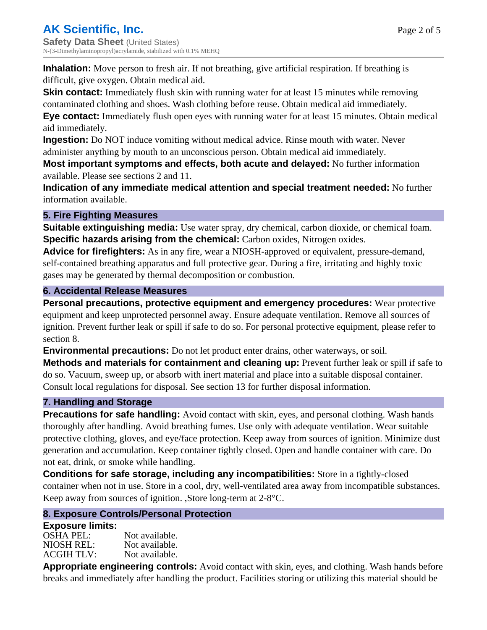**Inhalation:** Move person to fresh air. If not breathing, give artificial respiration. If breathing is difficult, give oxygen. Obtain medical aid.

**Skin contact:** Immediately flush skin with running water for at least 15 minutes while removing contaminated clothing and shoes. Wash clothing before reuse. Obtain medical aid immediately. **Eye contact:** Immediately flush open eyes with running water for at least 15 minutes. Obtain medical aid immediately.

**Ingestion:** Do NOT induce vomiting without medical advice. Rinse mouth with water. Never administer anything by mouth to an unconscious person. Obtain medical aid immediately.

**Most important symptoms and effects, both acute and delayed:** No further information available. Please see sections 2 and 11.

**Indication of any immediate medical attention and special treatment needed:** No further information available.

### **5. Fire Fighting Measures**

**Suitable extinguishing media:** Use water spray, dry chemical, carbon dioxide, or chemical foam. **Specific hazards arising from the chemical:** Carbon oxides, Nitrogen oxides.

**Advice for firefighters:** As in any fire, wear a NIOSH-approved or equivalent, pressure-demand, self-contained breathing apparatus and full protective gear. During a fire, irritating and highly toxic gases may be generated by thermal decomposition or combustion.

### **6. Accidental Release Measures**

**Personal precautions, protective equipment and emergency procedures:** Wear protective equipment and keep unprotected personnel away. Ensure adequate ventilation. Remove all sources of ignition. Prevent further leak or spill if safe to do so. For personal protective equipment, please refer to section 8.

**Environmental precautions:** Do not let product enter drains, other waterways, or soil.

**Methods and materials for containment and cleaning up:** Prevent further leak or spill if safe to do so. Vacuum, sweep up, or absorb with inert material and place into a suitable disposal container. Consult local regulations for disposal. See section 13 for further disposal information.

#### **7. Handling and Storage**

**Precautions for safe handling:** Avoid contact with skin, eyes, and personal clothing. Wash hands thoroughly after handling. Avoid breathing fumes. Use only with adequate ventilation. Wear suitable protective clothing, gloves, and eye/face protection. Keep away from sources of ignition. Minimize dust generation and accumulation. Keep container tightly closed. Open and handle container with care. Do not eat, drink, or smoke while handling.

**Conditions for safe storage, including any incompatibilities:** Store in a tightly-closed container when not in use. Store in a cool, dry, well-ventilated area away from incompatible substances. Keep away from sources of ignition. ,Store long-term at 2-8°C.

## **8. Exposure Controls/Personal Protection**

#### **Exposure limits:**

| Not available. |
|----------------|
| Not available. |
| Not available. |
|                |

**Appropriate engineering controls:** Avoid contact with skin, eyes, and clothing. Wash hands before breaks and immediately after handling the product. Facilities storing or utilizing this material should be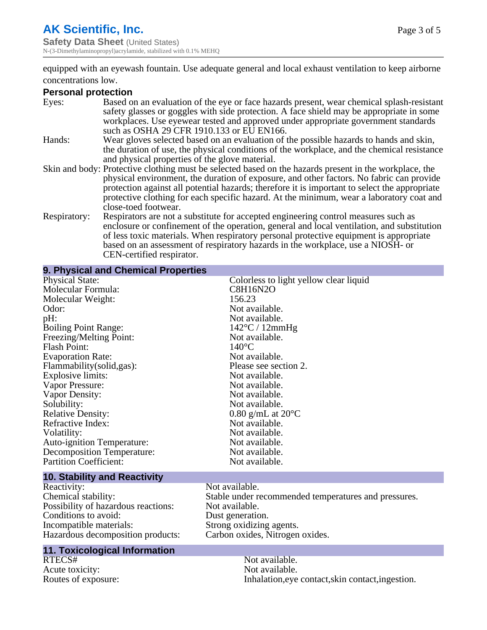# **AK Scientific, Inc.**

**Safety Data Sheet (United States)** N-(3-Dimethylaminopropyl)acrylamide, stabilized with 0.1% MEHQ

equipped with an eyewash fountain. Use adequate general and local exhaust ventilation to keep airborne concentrations low.

#### **Personal protection**

| Eyes:        | Based on an evaluation of the eye or face hazards present, wear chemical splash-resistant<br>safety glasses or goggles with side protection. A face shield may be appropriate in some<br>workplaces. Use eyewear tested and approved under appropriate government standards<br>such as OSHA 29 CFR 1910.133 or EU EN166.                                                                                                |
|--------------|-------------------------------------------------------------------------------------------------------------------------------------------------------------------------------------------------------------------------------------------------------------------------------------------------------------------------------------------------------------------------------------------------------------------------|
| Hands:       | Wear gloves selected based on an evaluation of the possible hazards to hands and skin,<br>the duration of use, the physical conditions of the workplace, and the chemical resistance<br>and physical properties of the glove material.                                                                                                                                                                                  |
|              | Skin and body: Protective clothing must be selected based on the hazards present in the workplace, the<br>physical environment, the duration of exposure, and other factors. No fabric can provide<br>protection against all potential hazards; therefore it is important to select the appropriate<br>protective clothing for each specific hazard. At the minimum, wear a laboratory coat and<br>close-toed footwear. |
| Respiratory: | Respirators are not a substitute for accepted engineering control measures such as<br>enclosure or confinement of the operation, general and local ventilation, and substitution<br>of less toxic materials. When respiratory personal protective equipment is appropriate<br>based on an assessment of respiratory hazards in the workplace, use a NIOSH- or<br>CEN-certified respirator.                              |

| 9. Physical and Chemical Properties |                                        |
|-------------------------------------|----------------------------------------|
| <b>Physical State:</b>              | Colorless to light yellow clear liquid |
| Molecular Formula:                  | C8H16N2O                               |
| Molecular Weight:                   | 156.23                                 |
| Odor:                               | Not available.                         |
| pH:                                 | Not available.                         |
| <b>Boiling Point Range:</b>         | $142^{\circ}$ C / 12mmHg               |
| Freezing/Melting Point:             | Not available.                         |
| <b>Flash Point:</b>                 | $140^{\circ}$ C                        |
| <b>Evaporation Rate:</b>            | Not available.                         |
| Flammability (solid, gas):          | Please see section 2.                  |
| Explosive limits:                   | Not available.                         |
| Vapor Pressure:                     | Not available.                         |
| Vapor Density:                      | Not available.                         |
| Solubility:                         | Not available.                         |
| <b>Relative Density:</b>            | $0.80$ g/mL at $20^{\circ}$ C          |
| Refractive Index:                   | Not available.                         |
| Volatility:                         | Not available.                         |
| Auto-ignition Temperature:          | Not available.                         |
| <b>Decomposition Temperature:</b>   | Not available.                         |
| <b>Partition Coefficient:</b>       | Not available.                         |
| <b>10. Stability and Reactivity</b> |                                        |

# Reactivity: Not available.<br>
Chemical stability: Stable under re Possibility of hazardous reactions: Not available.<br>Conditions to avoid: Dust generation. Conditions to avoid:<br>Incompatible materials: Incompatible materials: Strong oxidizing agents.

# **11. Toxicological Information**

Acute toxicity:

Stable under recommended temperatures and pressures.<br>Not available. Hazardous decomposition products: Carbon oxides, Nitrogen oxides.

Not available.<br>Not available. Routes of exposure: Inhalation,eye contact,skin contact,ingestion.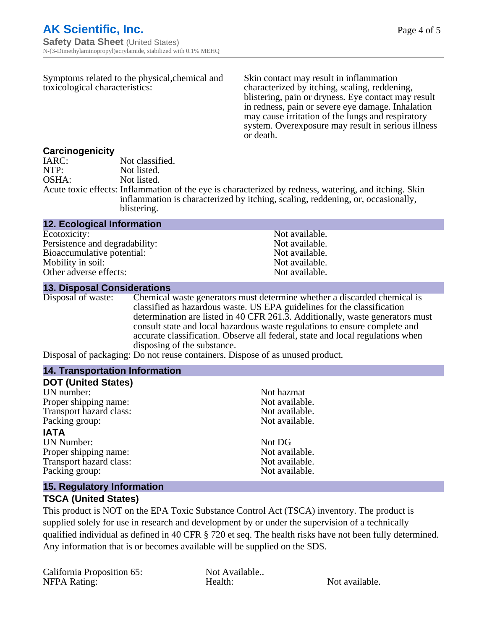| Symptoms related to the physical, chemical and<br>toxicological characteristics: |                                                                                                                                                                                          | Skin contact may result in inflammation<br>characterized by itching, scaling, reddening,<br>blistering, pain or dryness. Eye contact may result<br>in redness, pain or severe eye damage. Inhalation<br>may cause irritation of the lungs and respiratory<br>system. Overexposure may result in serious illness<br>or death. |  |
|----------------------------------------------------------------------------------|------------------------------------------------------------------------------------------------------------------------------------------------------------------------------------------|------------------------------------------------------------------------------------------------------------------------------------------------------------------------------------------------------------------------------------------------------------------------------------------------------------------------------|--|
| <b>Carcinogenicity</b>                                                           |                                                                                                                                                                                          |                                                                                                                                                                                                                                                                                                                              |  |
| IARC:                                                                            | Not classified.                                                                                                                                                                          |                                                                                                                                                                                                                                                                                                                              |  |
| NTP:                                                                             | Not listed.                                                                                                                                                                              |                                                                                                                                                                                                                                                                                                                              |  |
| OSHA:                                                                            | Not listed.                                                                                                                                                                              |                                                                                                                                                                                                                                                                                                                              |  |
|                                                                                  | Acute toxic effects: Inflammation of the eye is characterized by redness, watering, and itching. Skin<br>inflammation is characterized by itching, scaling, reddening, or, occasionally, |                                                                                                                                                                                                                                                                                                                              |  |

blistering.

#### **12. Ecological Information**

Ecotoxicity: Not available.<br>
Persistence and degradability: Not available.<br>
Not available. Persistence and degradability: Bioaccumulative potential: Not available. Mobility in soil:<br>
Other adverse effects:<br>
Other adverse effects:<br>
Not available. Other adverse effects:

#### **13. Disposal Considerations**

Disposal of waste: Chemical waste generators must determine whether a discarded chemical is classified as hazardous waste. US EPA guidelines for the classification determination are listed in 40 CFR 261.3. Additionally, waste generators must consult state and local hazardous waste regulations to ensure complete and accurate classification. Observe all federal, state and local regulations when disposing of the substance.

Disposal of packaging: Do not reuse containers. Dispose of as unused product.

| <b>14. Transportation Information</b> |                |
|---------------------------------------|----------------|
| <b>DOT (United States)</b>            |                |
| UN number:                            | Not hazmat     |
| Proper shipping name:                 | Not available. |
| Transport hazard class:               | Not available. |
| Packing group:                        | Not available. |
| <b>IATA</b>                           |                |
| UN Number:                            | Not DG         |
| Proper shipping name:                 | Not available. |
| Transport hazard class:               | Not available. |
| Packing group:                        | Not available. |
|                                       |                |

#### **15. Regulatory Information**

#### **TSCA (United States)**

This product is NOT on the EPA Toxic Substance Control Act (TSCA) inventory. The product is supplied solely for use in research and development by or under the supervision of a technically qualified individual as defined in 40 CFR § 720 et seq. The health risks have not been fully determined. Any information that is or becomes available will be supplied on the SDS.

California Proposition 65: Not Available.. NFPA Rating: Health: Health: Not available.